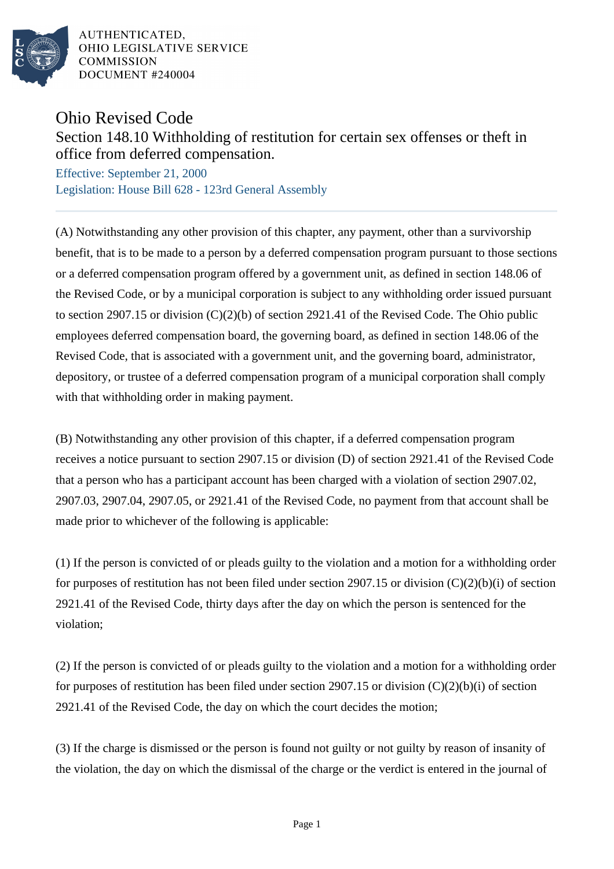

AUTHENTICATED. OHIO LEGISLATIVE SERVICE **COMMISSION** DOCUMENT #240004

## Ohio Revised Code

Section 148.10 Withholding of restitution for certain sex offenses or theft in office from deferred compensation.

Effective: September 21, 2000 Legislation: House Bill 628 - 123rd General Assembly

(A) Notwithstanding any other provision of this chapter, any payment, other than a survivorship benefit, that is to be made to a person by a deferred compensation program pursuant to those sections or a deferred compensation program offered by a government unit, as defined in section 148.06 of the Revised Code, or by a municipal corporation is subject to any withholding order issued pursuant to section 2907.15 or division (C)(2)(b) of section 2921.41 of the Revised Code. The Ohio public employees deferred compensation board, the governing board, as defined in section 148.06 of the Revised Code, that is associated with a government unit, and the governing board, administrator, depository, or trustee of a deferred compensation program of a municipal corporation shall comply with that withholding order in making payment.

(B) Notwithstanding any other provision of this chapter, if a deferred compensation program receives a notice pursuant to section 2907.15 or division (D) of section 2921.41 of the Revised Code that a person who has a participant account has been charged with a violation of section 2907.02, 2907.03, 2907.04, 2907.05, or 2921.41 of the Revised Code, no payment from that account shall be made prior to whichever of the following is applicable:

(1) If the person is convicted of or pleads guilty to the violation and a motion for a withholding order for purposes of restitution has not been filed under section 2907.15 or division  $(C)(2)(b)(i)$  of section 2921.41 of the Revised Code, thirty days after the day on which the person is sentenced for the violation;

(2) If the person is convicted of or pleads guilty to the violation and a motion for a withholding order for purposes of restitution has been filed under section 2907.15 or division (C)(2)(b)(i) of section 2921.41 of the Revised Code, the day on which the court decides the motion;

(3) If the charge is dismissed or the person is found not guilty or not guilty by reason of insanity of the violation, the day on which the dismissal of the charge or the verdict is entered in the journal of